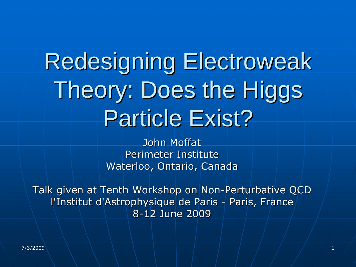# Redesigning Electroweak Theory: Does the Higgs Particle Exist?

John Moffat Perimeter Institute Waterloo, Ontario, Canada

Talk given at Tenth Workshop on Non-Perturbative QCD l'Institut d'Astrophysique de Paris - Paris, France 8-12 June 2009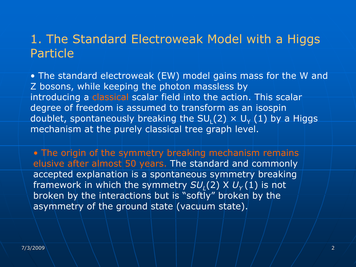# 1. The Standard Electroweak Model with a Higgs Particle

• The standard electroweak (EW) model gains mass for the W and Z bosons, while keeping the photon massless by introducing a classical scalar field into the action. This scalar degree of freedom is assumed to transform as an isospin doublet, spontaneously breaking the SU<sub>L</sub>(2)  $\times$  U<sub>Y</sub> (1) by a Higgs mechanism at the purely classical tree graph level.

• The origin of the symmetry breaking mechanism remains elusive after almost 50 years. The standard and commonly accepted explanation is a spontaneous symmetry breaking framework in which the symmetry  $SU_1(2)$  X  $U_1(1)$  is not broken by the interactions but is "softly" broken by the asymmetry of the ground state (vacuum state).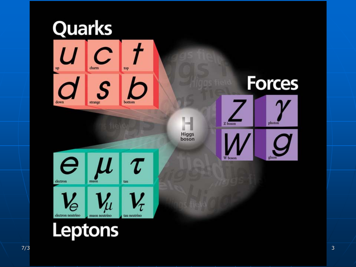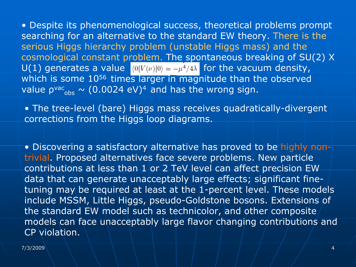• Despite its phenomenological success, theoretical problems prompt searching for an alternative to the standard EW theory. There is the serious Higgs hierarchy problem (unstable Higgs mass) and the cosmological constant problem. The spontaneous breaking of SU(2) X U(1) generates a value  $\langle 0|V(v)|0\rangle = -\mu^4/4\lambda$  for the vacuum density, which is some 10<sup>56</sup> times larger in magnitude than the observed value  $\rho^\text{vac}{}_{\text{obs}} \sim (0.0024 \text{ eV})^4$  and has the wrong sign.

• The tree-level (bare) Higgs mass receives quadratically-divergent corrections from the Higgs loop diagrams.

• Discovering a satisfactory alternative has proved to be highly nontrivial. Proposed alternatives face severe problems. New particle contributions at less than 1 or 2 TeV level can affect precision EW data that can generate unacceptably large effects; significant finetuning may be required at least at the 1-percent level. These models include MSSM, Little Higgs, pseudo-Goldstone bosons. Extensions of the standard EW model such as technicolor, and other composite models can face unacceptably large flavor changing contributions and CP violation.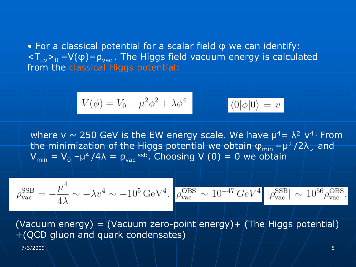• For a classical potential for a scalar field φ we can identify:  $\sqrt{2T_{uv}v_0} = V(\phi) = \rho_{vac}$ . The Higgs field vacuum energy is calculated from the classical Higgs potential:

$$
V(\phi) = V_0 - \mu^2 \phi^2 + \lambda \phi^4 \qquad \langle 0 | \phi | 0 \rangle = v
$$

where v  $\sim$  250 GeV is the EW energy scale. We have  $\mu^4 = \lambda^2$  v<sup>4</sup> From the minimization of the Higgs potential we obtain φ<sub>min</sub> =μ<sup>2</sup>/2λ, and  $V_{\rm min}$  =  $V_0$  - $\mu^4/4\lambda$  =  $\rho_{\rm vac}$  <sup>ssb</sup>. Choosing V (0) = 0 we obtain

$$
\rho_{\rm vac}^{\rm SSB}=-\frac{\mu^4}{4\lambda}\sim -\lambda v^4\sim -10^5\,{\rm GeV^4.}\,\left|\frac{\rho_{\rm vac}^{\rm OBS}}{\rho_{\rm vac}^{\rm OBS}}\sim 10^{-47}\,GeV^4\,\left|\frac{\rho_{\rm vac}^{\rm SSB}}{\rho_{\rm vac}^{\rm SSB}}\right|\sim 10^{56}\rho_{\rm vac}^{\rm OBS.}\right|
$$

(Vacuum energy) = (Vacuum zero-point energy) + (The Higgs potential) +(QCD gluon and quark condensates)

7/3/2009 \ \ \ \ \ \ | | | | | | | | | | | | |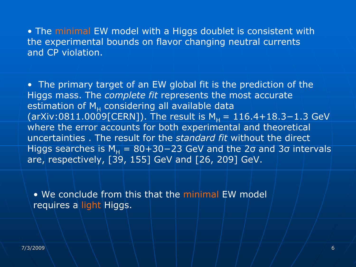• The minimal EW model with a Higgs doublet is consistent with the experimental bounds on flavor changing neutral currents and CP violation.

• The primary target of an EW global fit is the prediction of the Higgs mass. The *complete fit* represents the most accurate estimation of M<sub>H</sub> considering all available data (arXiv:0811.0009[CERN]). The result is  $M_H = 116.4 + 18.3 - 1.3$  GeV where the error accounts for both experimental and theoretical uncertainties . The result for the *standard fit* without the direct Higgs searches is M<sub>H</sub> =  $80+30-23$  GeV and the 2 $\sigma$  and 3 $\sigma$  intervals are, respectively, [39, 155] GeV and [26, 209] GeV.

• We conclude from this that the minimal EW model requires a light Higgs.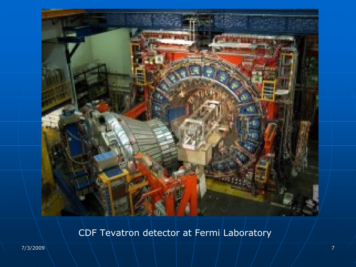

## CDF Tevatron detector at Fermi Laboratory

7/3/2009 7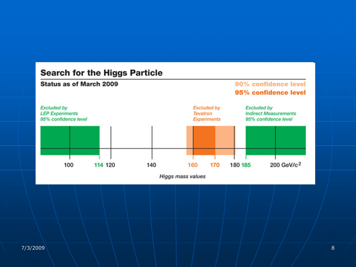### **Search for the Higgs Particle**

#### Status as of March 2009

#### 90% confidence level 95% confidence level



Higgs mass values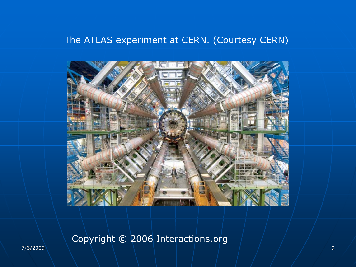## The ATLAS experiment at CERN. (Courtesy CERN)



Copyright © 2006 Interactions.org

7/3/2009 \ \ \ \ \ \ | | | | | | | | | | | | |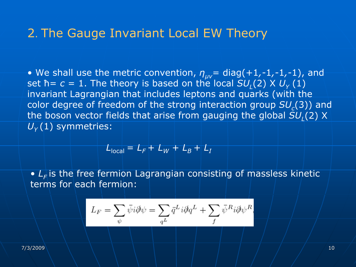## 2. The Gauge Invariant Local EW Theory

• We shall use the metric convention, *ηµ<sup>ν</sup>*= diag(+1*,-*1*,-*1*,-*1), and set ħ= *c* = 1. The theory is based on the local  $SU_L(2)$  X  $U_{\gamma}$  (1) invariant Lagrangian that includes leptons and quarks (with the color degree of freedom of the strong interaction group  $SU_c(3)$ ) and the boson vector fields that arise from gauging the global  $SU<sub>1</sub>(2)$  X  $U_{\rm v}(1)$  symmetries:

$$
L_{\text{local}} = L_F + L_W + L_B + L_I
$$

•  $L_F$  is the free fermion Lagrangian consisting of massless kinetic terms for each fermion:

$$
L_F = \sum_{\psi} \bar{\psi} i \partial \!\!\! / \psi = \sum_{q^L} \bar{q}^L i \partial \!\!\! / q^L + \sum_{f} \bar{\psi}^R i \partial \!\!\! / \psi^R
$$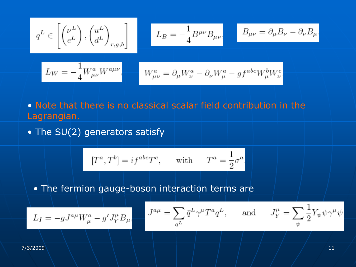$$
q^L \in \left[\begin{pmatrix} \nu^L \\ e^L \end{pmatrix},\begin{pmatrix} u^L \\ d^L \end{pmatrix}_{r,g,b}\right]
$$

$$
L_B=-\frac{1}{4}B^{\mu\nu}B_{\mu\nu}
$$

$$
B_{\mu\nu}=\partial_\mu B_\nu-\partial_\nu B_\mu
$$

$$
L_W = -\frac{1}{4} W^a_{\mu\nu} W^{a\mu\nu}, \qquad W^a_{\mu\nu} = \partial_\mu W^a_\nu - \partial_\nu W^a_\mu - g f^{abc} W^b_\mu W^c_\nu
$$

- Note that there is no classical scalar field contribution in the Lagrangian.
- The SU(2) generators satisfy

$$
[T^a, T^b] = i f^{abc} T^c
$$
, with  $T^a = \frac{1}{2} \sigma^a$ .

• The fermion gauge-boson interaction terms are

٠

$$
L_I = -gJ^{a\mu}W^a_\mu - g'J^\mu_Y B_\mu
$$

$$
J^{a\mu} = \sum_{q^L} \bar{q}^L \gamma^{\mu} T^a q^L, \quad \text{and} \quad
$$

$$
J^{\mu}_Y=\sum_\psi\frac{1}{2}Y_\psi\bar\psi\gamma^\mu\psi
$$

7/3/2009 \ \ \ \ \ \ | | | | | | | | | | | | |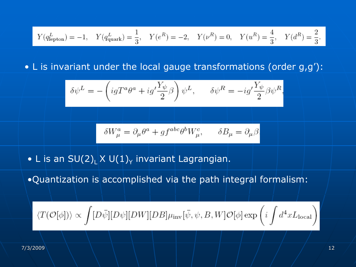$$
Y(q_{\rm lepton}^L)=-1, \quad Y(q_{\rm quark}^L)=\frac{1}{3}, \quad Y(e^R)=-2, \quad Y(\nu^R)=0, \quad Y(u^R)=\frac{4}{3}, \quad Y(d^R)=\frac{2}{3}.
$$

• L is invariant under the local gauge transformations (order g,g'):

$$
\delta \psi^L = -\left( igT^a \theta^a + ig'\frac{Y_\psi}{2} \beta \right) \psi^L, \qquad \delta \psi^R = -ig'\frac{Y_\psi}{2} \beta \psi^R
$$

$$
\delta W_\mu^a = \partial_\mu \theta^a + g f^{abc} \theta^b W_\mu^c, \qquad \delta B_\mu = \partial_\mu \beta
$$

 $\bullet$  L is an SU(2) $_{\mathsf{L}}$ X U(1) $_{\mathsf{Y}}$  invariant Lagrangian.

•Quantization is accomplished via the path integral formalism:

$$
\langle T(\mathcal{O}[\phi])\rangle \propto \int [D\bar{\psi}][D\psi][DW][DB]\mu_{\text{inv}}[\bar{\psi},\psi,B,W]\mathcal{O}[\phi] \exp\left(i\int d^4x L_{\text{local}}\right)
$$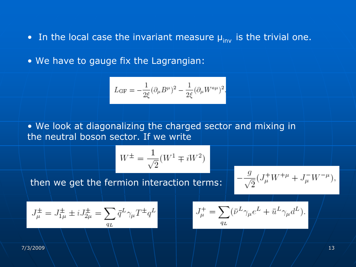• In the local case the invariant measure  $\mu_{\text{inv}}$  is the trivial one.

• We have to gauge fix the Lagrangian:

$$
L_{\rm GF}=-\frac{1}{2\xi}(\partial_\mu B^\mu)^2-\frac{1}{2\xi}(\partial_\mu W^{a\mu})^2.
$$

• We look at diagonalizing the charged sector and mixing in the neutral boson sector. If we write

$$
W^{\pm} = \frac{1}{\sqrt{2}}(W^1 \mp iW^2)
$$

then we get the fermion interaction terms:

$$
-\frac{g}{\sqrt{2}}(J^+_\mu W^{+\mu} + J^-_\mu W^{-\mu}),
$$

$$
J^\pm_\mu=J^\pm_{1\mu}\pm iJ^\pm_{2\mu}=\sum_{q_L}\bar{q}^L\gamma_\mu T^\pm q^L
$$

$$
J^+_\mu = \sum_{q_L} (\bar{\nu}^L \gamma_\mu e^L + \bar{u}^L \gamma_\mu d^L).
$$

7/3/2009 \ \ \ \ \ \ | | | | | | | | | | | | |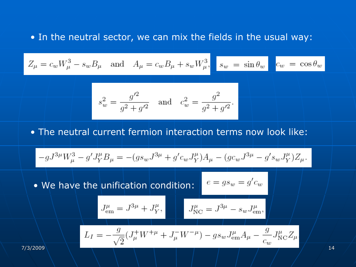#### • In the neutral sector, we can mix the fields in the usual way:

$$
Z_{\mu} = c_w W_{\mu}^3 - s_w B_{\mu} \quad \text{and} \quad A_{\mu} = c_w B_{\mu} + s_w W_{\mu}^3, \quad s_w = \sin \theta_w \quad c_w = \cos \theta_w
$$

$$
s_w^2 = \frac{g'^2}{g^2 + g'^2} \quad \text{and} \quad c_w^2 = \frac{g^2}{g^2 + g'^2}.
$$

#### • The neutral current fermion interaction terms now look like:

$$
-gJ^{3\mu}W_{\mu}^3-g'J_Y^{\mu}B_{\mu}=-(g s_w J^{3\mu}+g'c_w J_Y^{\mu})A_{\mu}-(g c_w J^{3\mu}-g' s_w J_Y^{\mu})Z_{\mu}.
$$

• We have the unification condition:

$$
J^{\mu}_{\text{em}} = J^{3\mu} + J^{\mu}_{Y}, \qquad J^{\mu}_{\text{NC}} = J^{3\mu} - s_{w} J^{\mu}_{\text{em}},
$$

$$
L_I = -\frac{g}{\sqrt{2}} (J^+_\mu W^{+\mu} + J^-_\mu W^{-\mu}) - g s_w J^{\mu}_{em} A_\mu - \frac{g}{c_w} J^{\mu}_{NC} Z_\mu
$$

 $e = gs_w = g'c_w$ 

7/3/2009 14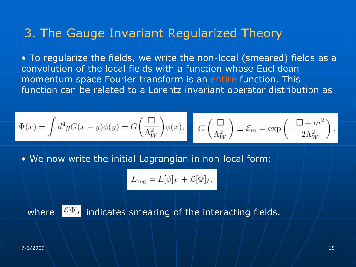# 3. The Gauge Invariant Regularized Theory

• To regularize the fields, we write the non-local (smeared) fields as a convolution of the local fields with a function whose Euclidean momentum space Fourier transform is an entire function. This function can be related to a Lorentz invariant operator distribution as

$$
\Phi(x) = \int d^4 y G(x - y) \phi(y) = G\left(\frac{\Box}{\Lambda_W^2}\right) \phi(x), \qquad G\left(\frac{\Box}{\Lambda_W^2}\right) \equiv \mathcal{E}_m = \exp\left(-\frac{\Box + m^2}{2\Lambda_W^2}\right).
$$

• We now write the initial Lagrangian in non-local form:

$$
L_{\text{reg}} = L[\phi]_F + \mathcal{L}[\Phi]_I,
$$

where  $\sqrt{[L[\Phi]]}$  indicates smearing of the interacting fields.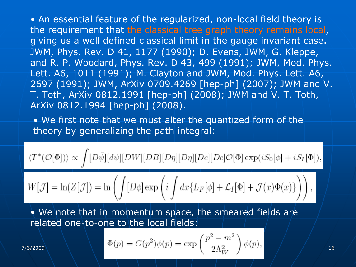• An essential feature of the regularized, non-local field theory is the requirement that the classical tree graph theory remains local, giving us a well defined classical limit in the gauge invariant case. JWM, Phys. Rev. D 41, 1177 (1990); D. Evens, JWM, G. Kleppe, and R. P. Woodard, Phys. Rev. D 43, 499 (1991); JWM, Mod. Phys. Lett. A6, 1011 (1991); M. Clayton and JWM, Mod. Phys. Lett. A6, 2697 (1991); JWM, ArXiv 0709.4269 [hep-ph] (2007); JWM and V. T. Toth, ArXiv 0812.1991 [hep-ph] (2008); JWM and V. T. Toth, ArXiv 0812.1994 [hep-ph] (2008).

• We first note that we must alter the quantized form of the theory by generalizing the path integral:

$$
\langle T^*(\mathcal{O}[\Phi])\rangle \propto \int [D\bar{\psi}][d\psi][DW][DB][D\bar{\eta}][D\eta][D\bar{c}][Dc]\mathcal{O}[\Phi] \exp(iS_0[\phi] + iS_I[\Phi]),
$$

$$
W[\mathcal{J}] = \ln(Z[\mathcal{J}]) = \ln\left(\int [D\phi] \exp\left(i \int dx \{L_F[\phi] + \mathcal{L}_I[\Phi] + \mathcal{J}(x)\Phi(x)\}\right)\right),
$$

• We note that in momentum space, the smeared fields are related one-to-one to the local fields:

$$
\Phi(p) = G(p^2)\phi(p) = \exp\left(\frac{p^2 - m^2}{2\Lambda_W^2}\right)\phi(p),
$$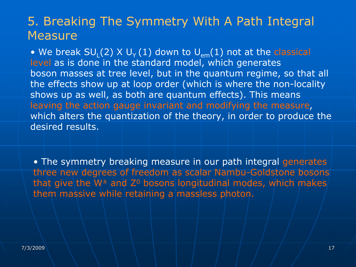## 5. Breaking The Symmetry With A Path Integral **Measure**

• We break SU<sub>L</sub>(2) X U<sub>Y</sub> (1) down to U<sub>em</sub>(1) not at the classical level as is done in the standard model, which generates boson masses at tree level, but in the quantum regime, so that all the effects show up at loop order (which is where the non-locality shows up as well, as both are quantum effects). This means leaving the action gauge invariant and modifying the measure, which alters the quantization of the theory, in order to produce the desired results.

• The symmetry breaking measure in our path integral generates three new degrees of freedom as scalar Nambu-Goldstone bosons that give the  $W^{\pm}$  and  $Z^{0}$  bosons longitudinal modes, which makes them massive while retaining a massless photon.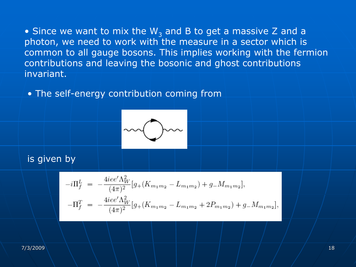• Since we want to mix the W<sub>3</sub> and B to get a massive Z and a photon, we need to work with the measure in a sector which is common to all gauge bosons. This implies working with the fermion contributions and leaving the bosonic and ghost contributions invariant.

• The self-energy contribution coming from



## is given by

$$
-i\Pi_f^L = -\frac{4iee'\Lambda_W^2}{(4\pi)^2} [g_+(K_{m_1m_2} - L_{m_1m_2}) + g_-M_{m_1m_2}],
$$
  

$$
-\Pi_f^T = -\frac{4iee'\Lambda_W^2}{(4\pi)^2} [g_+(K_{m_1m_2} - L_{m_1m_2} + 2P_{m_1m_2}) + g_-M_{m_1m_2}]
$$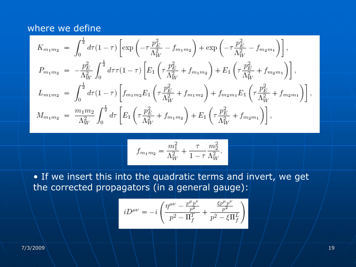#### where we define

$$
K_{m_1m_2} = \int_0^{\frac{1}{2}} d\tau (1-\tau) \left[ \exp\left(-\tau \frac{p_E^2}{\Lambda_W^2} - f_{m_1m_2}\right) + \exp\left(-\tau \frac{p_E^2}{\Lambda_W^2} - f_{m_2m_1}\right) \right],
$$
  
\n
$$
P_{m_1m_2} = -\frac{p_E^2}{\Lambda_W^2} \int_0^{\frac{1}{2}} d\tau \tau (1-\tau) \left[ E_1 \left(\tau \frac{p_E^2}{\Lambda_W^2} + f_{m_1m_2}\right) + E_1 \left(\tau \frac{p_E^2}{\Lambda_W^2} + f_{m_2m_1}\right) \right],
$$
  
\n
$$
L_{m_1m_2} = \int_0^{\frac{1}{2}} d\tau (1-\tau) \left[ f_{m_1m_2} E_1 \left(\tau \frac{p_E^2}{\Lambda_W^2} + f_{m_1m_2}\right) + f_{m_2m_1} E_1 \left(\tau \frac{p_E^2}{\Lambda_W^2} + f_{m_2m_1}\right) \right],
$$
  
\n
$$
M_{m_1m_2} = \frac{m_1m_2}{\Lambda_W^2} \int_0^{\frac{1}{2}} d\tau \left[ E_1 \left(\tau \frac{p_E^2}{\Lambda_W^2} + f_{m_1m_2}\right) + E_1 \left(\tau \frac{p_E^2}{\Lambda_W^2} + f_{m_2m_1}\right) \right],
$$

$$
f_{m_1m_2} = \frac{m_1^2}{\Lambda_W^2} + \frac{\tau}{1-\tau} \frac{m_2^2}{\Lambda_W^2}.
$$

• If we insert this into the quadratic terms and invert, we get the corrected propagators (in a general gauge):

$$
iD^{\mu\nu} = -i \left( \frac{\eta^{\mu\nu} - \frac{p^{\mu}p^{\nu}}{p^2}}{p^2 - \Pi_f^T} + \frac{\frac{\xi p^{\mu}p^{\nu}}{p^2}}{p^2 - \xi \Pi_f^L} \right)
$$

7/3/2009 \ \ \ \ \ \ | | | | | | | | | | | | |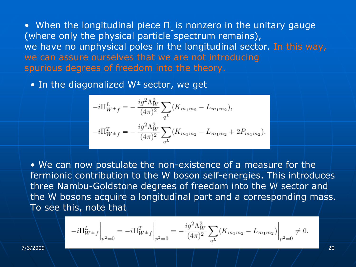• When the longitudinal piece  $\Pi_{\mathsf{L}}$  is nonzero in the unitary gauge (where only the physical particle spectrum remains), we have no unphysical poles in the longitudinal sector. In this way, we can assure ourselves that we are not introducing spurious degrees of freedom into the theory.

• In the diagonalized W± sector, we get

$$
-i\Pi_{W^{\pm}f}^{L} = -\frac{ig^{2}\Lambda_{W}^{2}}{(4\pi)^{2}} \sum_{q^{L}} (K_{m_{1}m_{2}} - L_{m_{1}m_{2}}),
$$
  

$$
-i\Pi_{W^{\pm}f}^{T} = -\frac{ig^{2}\Lambda_{W}^{2}}{(4\pi)^{2}} \sum_{q^{L}} (K_{m_{1}m_{2}} - L_{m_{1}m_{2}} + 2P_{m_{1}m_{2}}).
$$

• We can now postulate the non-existence of a measure for the fermionic contribution to the W boson self-energies. This introduces three Nambu-Goldstone degrees of freedom into the W sector and the W bosons acquire a longitudinal part and a corresponding mass. To see this, note that

$$
-i\Pi_{W^{\pm}f}^{L}\bigg|_{p^{2}=0} = -i\Pi_{W^{\pm}f}^{T}\bigg|_{p^{2}=0} = -\frac{ig^{2}\Lambda_{W}^{2}}{(4\pi)^{2}}\sum_{q^{L}}(K_{m_{1}m_{2}}-L_{m_{1}m_{2}})\bigg|_{p^{2}=0} \neq 0.
$$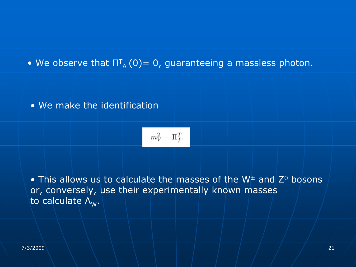• We observe that  $\Pi_{\scriptscriptstyle\rm A}^{\scriptscriptstyle\rm T}$  (0)= 0, guaranteeing a massless photon.

#### • We make the identification

$$
m_V^2=\Pi_f^T.
$$

• This allows us to calculate the masses of the  $W^\pm$  and  $Z^0$  bosons or, conversely, use their experimentally known masses to calculate  $\Lambda_w$ .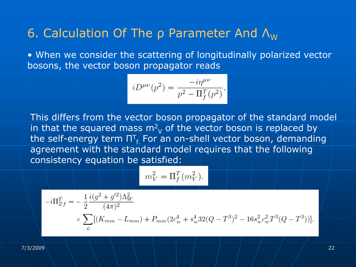# 6. Calculation Of The  $\rho$  Parameter And  $\Lambda_{W}$

• When we consider the scattering of longitudinally polarized vector bosons, the vector boson propagator reads

$$
iD^{\mu\nu}(p^2) = \frac{-i\eta^{\mu\nu}}{p^2 - \Pi_f^T(p^2)},
$$

This differs from the vector boson propagator of the standard model in that the squared mass m $^2\!\rm V}$  of the vector boson is replaced by the self-energy term  $\Pi_{f}^{T}$  For an on-shell vector boson, demanding agreement with the standard model requires that the following consistency equation be satisfied:

$$
m_V^2 = \Pi_f^T(m_V^2).
$$

$$
-i\Pi_{Zf}^{T} = -\frac{1}{2} \frac{i(g^{2} + g'^{2})\Lambda_{W}^{2}}{(4\pi)^{2}} \times \sum_{\psi} [(K_{mm} - L_{mm}) + P_{mm}(2c_{w}^{4} + s_{w}^{4}32(Q - T^{3})^{2} - 16s_{w}^{2}c_{w}^{2}T^{3}(Q - T^{3}))].
$$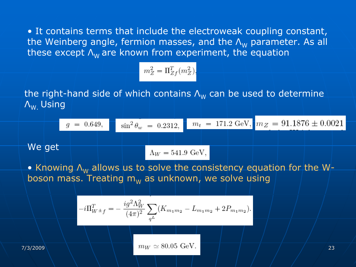• It contains terms that include the electroweak coupling constant, the Weinberg angle, fermion masses, and the  $\mathsf{\Lambda}_\mathsf{W}$  parameter. As all these except  $\Lambda_w$  are known from experiment, the equation

$$
m_Z^2 = \Pi_{Zf}^T(m_Z^2),
$$

the right-hand side of which contains  $\mathsf{\Lambda}_{\mathsf{W}}$  can be used to determine ΛW. Using

$$
g = 0.649
$$
,  $\sin^2 \theta_w = 0.2312$ ,  $m_t = 171.2 \text{ GeV}$ ,  $m_Z = 91.1876 \pm 0.0021$ 

We get

$$
\Lambda_W = 541.9 \,\, \mathrm{GeV},
$$

• Knowing  $\Lambda_{\sf w}$  allows us to solve the consistency equation for the Wboson mass. Treating  $\mathsf{m}_\mathsf{W}$  as unknown, we solve using

$$
-i\Pi_{W\pm f}^T = -\frac{ig^2\Lambda_W^2}{(4\pi)^2} \sum_{q^L} (K_{m_1m_2} - L_{m_1m_2} + 2P_{m_1m_2}).
$$

7/3/2009 23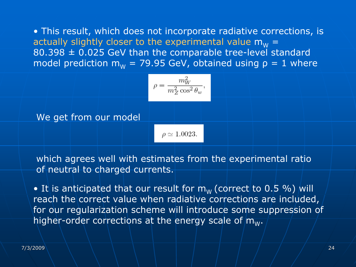• This result, which does not incorporate radiative corrections, is actually slightly closer to the experimental value  $\mathsf{m}_\mathsf{W}$  =  $80.398 \pm 0.025$  GeV than the comparable tree-level standard model prediction m $_{\textrm{\tiny{W}}}$  = 79.95 GeV, obtained using  $\rho$  = 1 where

$$
\rho = \frac{m_W^2}{m_Z^2 \cos^2 \theta_w},
$$

We get from our model

 $\rho \simeq 1.0023$ .

which agrees well with estimates from the experimental ratio of neutral to charged currents.

 $\bullet$  It is anticipated that our result for  ${\sf m}_{\sf w}$  (correct to 0.5 %) will reach the correct value when radiative corrections are included, for our regularization scheme will introduce some suppression of higher-order corrections at the energy scale of  $m_W$ .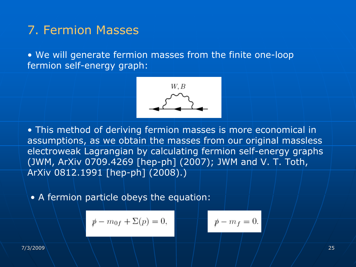# 7. Fermion Masses

• We will generate fermion masses from the finite one-loop fermion self-energy graph:



• This method of deriving fermion masses is more economical in assumptions, as we obtain the masses from our original massless electroweak Lagrangian by calculating fermion self-energy graphs (JWM, ArXiv 0709.4269 [hep-ph] (2007); JWM and V. T. Toth, ArXiv 0812.1991 [hep-ph] (2008).)

• A fermion particle obeys the equation:

$$
p - m_{0f} + \Sigma(p) = 0,
$$
  $p - m_f = 0.$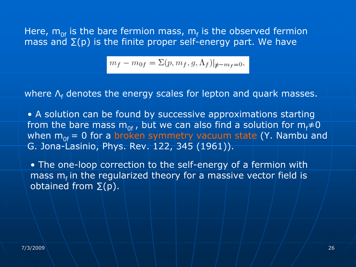Here,  $\mathsf{m}_{\mathsf{0f}}$  is the bare fermion mass,  $\mathsf{m}_{\mathsf{f}}$  is the observed fermion mass and  $\Sigma(p)$  is the finite proper self-energy part. We have

$$
m_f - m_{0f} = \Sigma(p, m_f, g, \Lambda_f)|_{\not{p} - m_f = 0},
$$

where Λ<sub>f</sub> denotes the energy scales for lepton and quark masses.

• A solution can be found by successive approximations starting from the bare mass m<sub>of</sub>, but we can also find a solution for m<sub>f</sub>≠0 when  $m_{0f} = 0$  for a broken symmetry vacuum state (Y. Nambu and G. Jona-Lasinio, Phys. Rev. 122, 345 (1961)).

• The one-loop correction to the self-energy of a fermion with mass  $m_f$  in the regularized theory for a massive vector field is obtained from  $\Sigma(p)$ .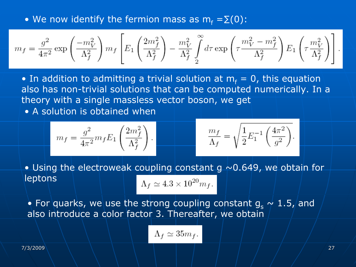• We now identify the fermion mass as  $\mathsf{m}_\mathsf{f} = \Sigma(\mathsf{0})$ :

$$
m_f = \frac{g^2}{4\pi^2}\exp\left(\frac{-m_V^2}{\Lambda_f^2}\right)m_f\left[E_1\left(\frac{2m_f^2}{\Lambda_f^2}\right)-\frac{m_V^2}{\Lambda_f^2}\int\limits_2^\infty d\tau\exp\left(\tau\frac{m_V^2-m_f^2}{\Lambda_f^2}\right)E_1\left(\tau\frac{m_V^2}{\Lambda_f^2}\right)\right]
$$

• In addition to admitting a trivial solution at  $m_f = 0$ , this equation  $\overline{\phantom{a}}$ also has non-trivial solutions that can be computed numerically. In a theory with a single massless vector boson, we get

• A solution is obtained when

$$
m_f = \frac{g^2}{4\pi^2} m_f E_1 \left(\frac{2m_f^2}{\Lambda_f^2}\right).
$$

$$
\frac{m_f}{\Lambda_f} = \sqrt{\frac{1}{2} E_1^{-1} \left(\frac{4\pi^2}{g^2}\right)}.
$$

• Using the electroweak coupling constant g  $\sim$  0.649, we obtain for leptons

$$
\Lambda_f \simeq 4.3 \times 10^{20} m_f.
$$

 $\bullet$  For quarks, we use the strong coupling constant  $\mathsf{g_s} \not\sim 1.5$  and also introduce a color factor 3. Thereafter, we obtain

$$
\Lambda_f \simeq 35 m_f.
$$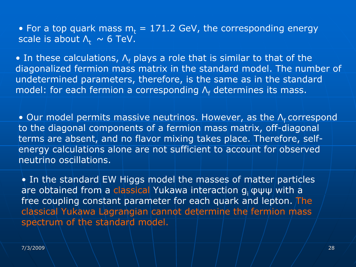• For a top quark mass  $m_t = 171.2$  GeV, the corresponding energy scale is about  $\Lambda_t \sim 6$  TeV.

• In these calculations,  $\Lambda_{\mathsf{f}}$  plays a role that is similar to that of the diagonalized fermion mass matrix in the standard model. The number of undetermined parameters, therefore, is the same as in the standard model: for each fermion a corresponding  $\mathsf{\Lambda}_{\mathsf{f}}$  determines its mass.

• Our model permits massive neutrinos. However, as the  $\Lambda_{\mathrm{f}}$  correspond to the diagonal components of a fermion mass matrix, off-diagonal terms are absent, and no flavor mixing takes place. Therefore, selfenergy calculations alone are not sufficient to account for observed neutrino oscillations.

• In the standard EW Higgs model the masses of matter particles are obtained from a classical Yukawa interaction g<sub>i</sub> φψψ/with a free coupling constant parameter for each quark and lepton. The classical Yukawa Lagrangian cannot determine the fermion mass spectrum of the standard model.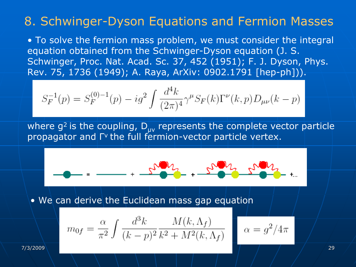# 8. Schwinger-Dyson Equations and Fermion Masses

• To solve the fermion mass problem, we must consider the integral equation obtained from the Schwinger-Dyson equation (J. S. Schwinger, Proc. Nat. Acad. Sc. 37, 452 (1951); F. J. Dyson, Phys. Rev. 75, 1736 (1949); A. Raya, ArXiv: 0902.1791 [hep-ph])).

$$
S_F^{-1}(p) = S_F^{(0)-1}(p) - ig^2 \int \frac{d^4k}{(2\pi)^4} \gamma^\mu S_F(k) \Gamma^\nu(k,p) D_{\mu\nu}(k-p)
$$

where  $g^2$  is the coupling,  $D_{\mu\nu}$  represents the complete vector particle propagator and Γν the full fermion-vector particle vertex.

$$
-1 = -1 - \frac{1}{2} \frac{1}{2} \frac{1}{2} \frac{1}{2} \frac{1}{2} \frac{1}{2} \frac{1}{2} \frac{1}{2} \frac{1}{2} \frac{1}{2} \frac{1}{2} \frac{1}{2} \frac{1}{2} \frac{1}{2} \frac{1}{2} \frac{1}{2} \frac{1}{2} \frac{1}{2} \frac{1}{2} \frac{1}{2} \frac{1}{2} \frac{1}{2} \frac{1}{2} \frac{1}{2} \frac{1}{2} \frac{1}{2} \frac{1}{2} \frac{1}{2} \frac{1}{2} \frac{1}{2} \frac{1}{2} \frac{1}{2} \frac{1}{2} \frac{1}{2} \frac{1}{2} \frac{1}{2} \frac{1}{2} \frac{1}{2} \frac{1}{2} \frac{1}{2} \frac{1}{2} \frac{1}{2} \frac{1}{2} \frac{1}{2} \frac{1}{2} \frac{1}{2} \frac{1}{2} \frac{1}{2} \frac{1}{2} \frac{1}{2} \frac{1}{2} \frac{1}{2} \frac{1}{2} \frac{1}{2} \frac{1}{2} \frac{1}{2} \frac{1}{2} \frac{1}{2} \frac{1}{2} \frac{1}{2} \frac{1}{2} \frac{1}{2} \frac{1}{2} \frac{1}{2} \frac{1}{2} \frac{1}{2} \frac{1}{2} \frac{1}{2} \frac{1}{2} \frac{1}{2} \frac{1}{2} \frac{1}{2} \frac{1}{2} \frac{1}{2} \frac{1}{2} \frac{1}{2} \frac{1}{2} \frac{1}{2} \frac{1}{2} \frac{1}{2} \frac{1}{2} \frac{1}{2} \frac{1}{2} \frac{1}{2} \frac{1}{2} \frac{1}{2} \frac{1}{2} \frac{1}{2} \frac{1}{2} \frac{1}{2} \frac{1}{2} \frac{1}{2} \frac{1}{2} \frac{1}{2} \frac{1}{2} \frac{1}{2} \frac{1}{2} \frac{1}{2} \frac{1}{2} \frac{1}{2} \frac{1}{2} \frac{1}{2} \frac{1}{2} \frac{1}{2} \frac{1}{2} \frac{1}{2} \frac{1}{2} \frac{1
$$

• We can derive the Euclidean mass gap equation

$$
m_{0f} = \frac{\alpha}{\pi^2} \int \frac{d^3k}{(k-p)^2} \frac{M(k,\Lambda_f)}{k^2 + M^2(k,\Lambda_f)}
$$

7/3/2009 29

 $\alpha = g^2/4\pi$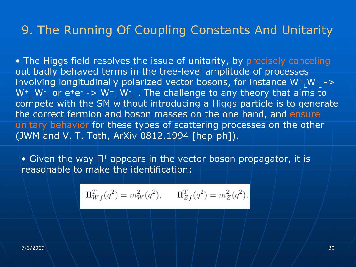# 9. The Running Of Coupling Constants And Unitarity

• The Higgs field resolves the issue of unitarity, by precisely canceling out badly behaved terms in the tree-level amplitude of processes involving longitudinally polarized vector bosons, for instance  $W^+$ ,  $W^-$ ,  $\rightarrow$ W<sup>+</sup><sub>L</sub> W<sup>-</sup><sub>L</sub> or e<sup>+</sup>e<sup>-</sup> -> W<sup>+</sup><sub>L</sub> W<sup>-</sup><sub>L</sub> . The challenge to any theory that aims to compete with the SM without introducing a Higgs particle is to generate the correct fermion and boson masses on the one hand, and ensure unitary behavior for these types of scattering processes on the other (JWM and V. T. Toth, ArXiv 0812.1994 [hep-ph]).

• Given the way  $\Pi^{\intercal}$  appears in the vector boson propagator, it is reasonable to make the identification:

$$
\Pi_{Wf}^T(q^2) = m_W^2(q^2), \qquad \Pi_{Zf}^T(q^2) = m_Z^2(q^2).
$$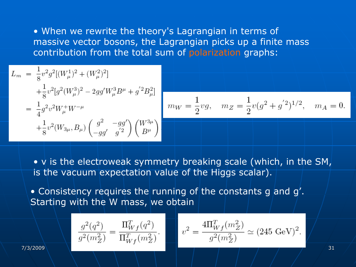• When we rewrite the theory's Lagrangian in terms of massive vector bosons, the Lagrangian picks up a finite mass contribution from the total sum of polarization graphs:

$$
L_m = \frac{1}{8}v^2g^2[(W_\mu^1)^2 + (W_\mu^2)^2]
$$
  
+  $\frac{1}{8}v^2[g^2(W_\mu^3)^2 - 2gg'W_\mu^3B^\mu + g'^2B_\mu^2]$   
=  $\frac{1}{4}g^2v^2W_\mu^+W^{-\mu}$   
+  $\frac{1}{8}v^2(W_{3\mu}, B_\mu)\left(\frac{g^2}{-gg'} - \frac{gg'}{g'^2}\right)\left(\frac{W^{3\mu}}{B^\mu}\right)$ 

$$
m_W = \frac{1}{2}vg, \quad m_Z = \frac{1}{2}v(g^2 + g^{'2})^{1/2}, \quad m_A = 0.
$$

• v is the electroweak symmetry breaking scale (which, in the SM, is the vacuum expectation value of the Higgs scalar).

• Consistency requires the running of the constants g and g'. Starting with the W mass, we obtain

$$
\frac{g^2(q^2)}{g^2(m_Z^2)} = \frac{\Pi_{Wf}^T(q^2)}{\Pi_{Wf}^T(m_Z^2)}.
$$

$$
v^2 = \frac{4\Pi_{Wf}^T(m_Z^2)}{g^2(m_Z^2)} \simeq (245 \text{ GeV})^2.
$$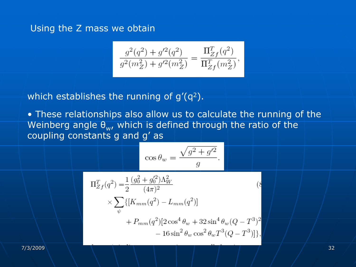## Using the Z mass we obtain

$$
\frac{g^2(q^2)+g'^2(q^2)}{g^2(m^2_Z)+g'^2(m^2_Z)}=\frac{\Pi^T_{Zf}(q^2)}{\Pi^T_{Zf}(m^2_Z)},
$$

which establishes the running of  $g'(q^2)$ .

• These relationships also allow us to calculate the running of the Weinberg angle  $\theta_{w}$ , which is defined through the ratio of the coupling constants g and g' as

$$
\cos \theta_w = \frac{\sqrt{g^2 + g'^2}}{g}.
$$

$$
\Pi_{Zf}^{T}(q^{2}) = \frac{1}{2} \frac{(g_{0}^{2} + g_{0}^{\prime 2})\Lambda_{W}^{2}}{(4\pi)^{2}} \times \sum_{\psi} \{ [K_{mm}(q^{2}) - L_{mm}(q^{2})] + P_{mm}(q^{2})[2\cos^{4}\theta_{w} + 32\sin^{4}\theta_{w}(Q - T^{3})^{2} - 16\sin^{2}\theta_{w}\cos^{2}\theta_{w}T^{3}(Q - T^{3})] \},
$$
\n(8)

7/3/2009 32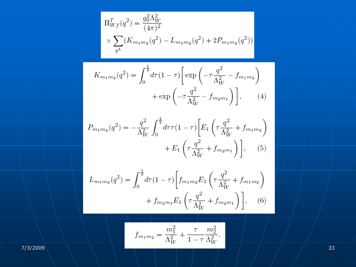$$
\Pi_{Wf}^T(q^2) = \frac{g_0^2 \Lambda_W^2}{(4\pi)^2} \times \sum_{q^L} (K_{m_1m_2}(q^2) - L_{m_1m_2}(q^2) + 2P_{m_1m_2}(q^2)),
$$

$$
K_{m_1m_2}(q^2) = \int_0^{\frac{1}{2}} d\tau (1-\tau) \left[ \exp\left(-\tau \frac{q^2}{\Lambda_W^2} - f_{m_1m_2}\right) + \exp\left(-\tau \frac{q^2}{\Lambda_W^2} - f_{m_2m_1}\right) \right], \qquad (4)
$$

$$
P_{m_1m_2}(q^2) = -\frac{q^2}{\Lambda_W^2} \int_0^{\frac{1}{2}} d\tau \tau (1-\tau) \left[ E_1 \left( \tau \frac{q^2}{\Lambda_W^2} + f_{m_1m_2} \right) + E_1 \left( \tau \frac{q^2}{\Lambda_W^2} + f_{m_2m_1} \right) \right], \quad (5)
$$

$$
L_{m_1m_2}(q^2) = \int_0^{\frac{1}{2}} d\tau (1-\tau) \left[ f_{m_1m_2} E_1 \left( \tau \frac{q^2}{\Lambda_W^2} + f_{m_1m_2} \right) + f_{m_2m_1} E_1 \left( \tau \frac{q^2}{\Lambda_W^2} + f_{m_2m_1} \right) \right], \quad (6)
$$

$$
f_{m_1m_2} = \frac{m_1^2}{\Lambda_W^2} + \frac{\tau}{1-\tau} \frac{m_2^2}{\Lambda_W^2}.
$$

7/3/2009 33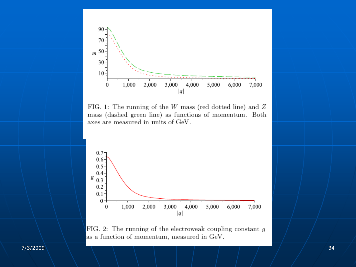

FIG. 1: The running of the  $W$  mass (red dotted line) and  $Z$ mass (dashed green line) as functions of momentum. Both axes are measured in units of GeV.



FIG. 2: The running of the electroweak coupling constant  $g$ as a function of momentum, measured in GeV.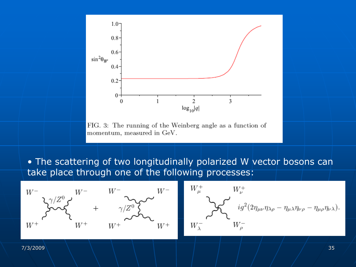

FIG. 3: The running of the Weinberg angle as a function of momentum, measured in GeV.

• The scattering of two longitudinally polarized W vector bosons can take place through one of the following processes:



$$
W^+_{\mu}
$$
\n
$$
W^-_{\lambda}
$$
\n
$$
W^-_{\lambda}
$$
\n
$$
W^-_{\rho}
$$
\n
$$
W^-_{\rho}
$$
\n
$$
W^-_{\rho}
$$
\n
$$
W^-_{\rho}
$$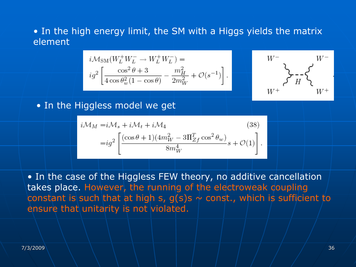## • In the high energy limit, the SM with a Higgs yields the matrix element

$$
\begin{split} &i\mathcal{M}_\text{SM}(W_L^+W_L^-\rightarrow W_L^+W_L^-) = \\ &ig^2\left[\frac{\cos^2\theta+3}{4\cos\theta_w^2(1-\cos\theta)}-\frac{m_H^2}{2m_W^2}+\mathcal{O}(s^{-1})\right]. \end{split}
$$

$$
\begin{array}{c} W^- \\ \searrow \\ \searrow \\ W^+ \end{array} \begin{array}{c} W^- \\ \searrow \\ H^- \end{array}
$$

• In the Higgless model we get

$$
i\mathcal{M}_M = i\mathcal{M}_s + i\mathcal{M}_t + i\mathcal{M}_4
$$
\n
$$
= ig^2 \left[ \frac{(\cos\theta + 1)(4m_W^2 - 3\Pi_{Zf}^T\cos^2\theta_w)}{8m_W^4} s + \mathcal{O}(1) \right].
$$
\n(38)

• In the case of the Higgless FEW theory, no additive cancellation takes place. However, the running of the electroweak coupling constant is such that at high s,  $g(s)$ s  $\sim$  const., which is sufficient to ensure that unitarity is not violated.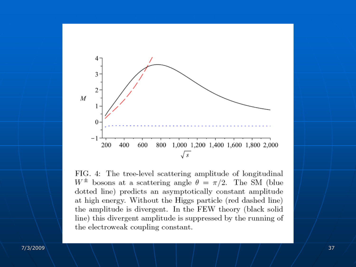

FIG. 4: The tree-level scattering amplitude of longitudinal  $W^{\pm}$  bosons at a scattering angle  $\theta = \pi/2$ . The SM (blue dotted line) predicts an asymptotically constant amplitude at high energy. Without the Higgs particle (red dashed line) the amplitude is divergent. In the FEW theory (black solid line) this divergent amplitude is suppressed by the running of the electroweak coupling constant.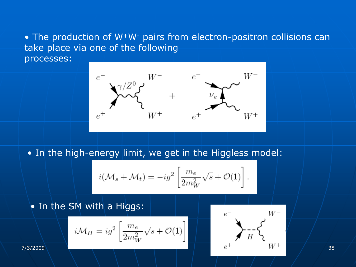## • The production of W+W- pairs from electron-positron collisions can take place via one of the following processes:

 $W^+$ 

• In the high-energy limit, we get in the Higgless model:

$$
i(\mathcal{M}_s + \mathcal{M}_t) = -ig^2 \left[ \frac{m_e}{2m_W^2} \sqrt{s} + \mathcal{O}(1) \right].
$$

## • In the SM with a Higgs:

$$
i\mathcal{M}_H = ig^2 \left[ \frac{m_e}{2m_W^2} \sqrt{s} + \mathcal{O}(1) \right]
$$

$$
i\mathcal{M}_H = ig^2 \left[ \frac{m_e}{2m_W^2} \sqrt{s} + \mathcal{O}(1) \right]^{e^-} \sum_{e^+} e^- \sqrt{s} + \mathcal{O}(\frac{W^-}{W^+})
$$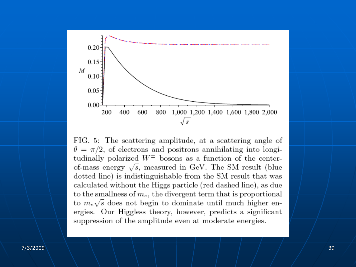

FIG. 5: The scattering amplitude, at a scattering angle of  $\theta = \pi/2$ , of electrons and positrons annihilating into longitudinally polarized  $W^{\pm}$  bosons as a function of the centerof-mass energy  $\sqrt{s}$ , measured in GeV. The SM result (blue dotted line) is indistinguishable from the SM result that was calculated without the Higgs particle (red dashed line), as due to the smallness of  $m_e$ , the divergent term that is proportional to  $m_e\sqrt{s}$  does not begin to dominate until much higher energies. Our Higgless theory, however, predicts a significant suppression of the amplitude even at moderate energies.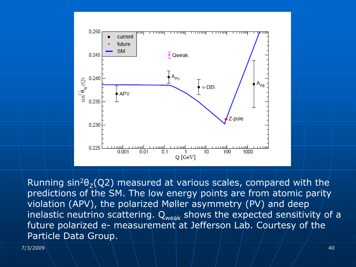

Running sin<sup>2</sup> $\theta$ <sub>7</sub>(Q2) measured at various scales, compared with the predictions of the SM. The low energy points are from atomic parity violation (APV), the polarized Møller asymmetry (PV) and deep inelastic neutrino scattering.  $\mathsf{Q}_{\mathsf{weak}}$  shows the expected sensitivity of a future polarized e- measurement at Jefferson Lab. Courtesy of the Particle Data Group.

7/3/2009 40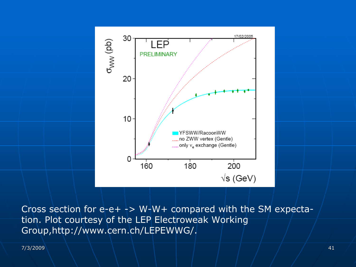

Cross section for  $e$ -e+  $\rightarrow$  W-W+ compared with the SM expectation. Plot courtesy of the LEP Electroweak Working Group,http://www.cern.ch/LEPEWWG/.

7/3/2009 41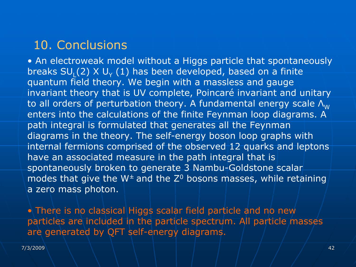# 10. Conclusions

• An electroweak model without a Higgs particle that spontaneously breaks SU<sub>L</sub>(2) X U<sub>Y</sub> (1) has been developed, based on a finite quantum field theory. We begin with a massless and gauge invariant theory that is UV complete, Poincaré invariant and unitary to all orders of perturbation theory. A fundamental energy scale  $\Lambda_w$  enters into the calculations of the finite Feynman loop diagrams. A path integral is formulated that generates all the Feynman diagrams in the theory. The self-energy boson loop graphs with internal fermions comprised of the observed 12 quarks and leptons have an associated measure in the path integral that is spontaneously broken to generate 3 Nambu-Goldstone scalar modes that give the  $W^{\pm}$  and the  $Z^0$  bosons masses, while retaining a zero mass photon.

 $\bullet$  There is no classical Higgs scalar field particle and no new particles are included in the particle spectrum. All particle masses are generated by QFT self-energy diagrams.